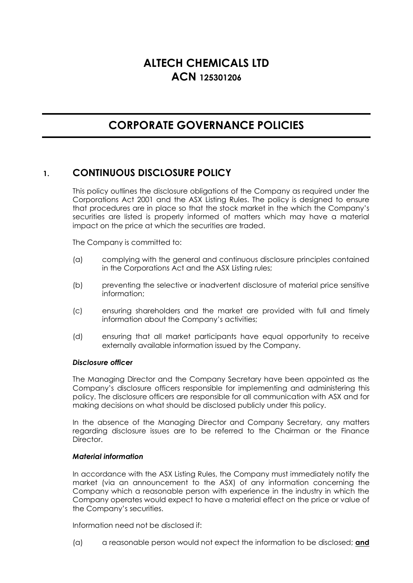# **ALTECH CHEMICALS LTD ACN 125301206**

# **CORPORATE GOVERNANCE POLICIES**

# **1. CONTINUOUS DISCLOSURE POLICY**

This policy outlines the disclosure obligations of the Company as required under the Corporations Act 2001 and the ASX Listing Rules. The policy is designed to ensure that procedures are in place so that the stock market in the which the Company's securities are listed is properly informed of matters which may have a material impact on the price at which the securities are traded.

The Company is committed to:

- (a) complying with the general and continuous disclosure principles contained in the Corporations Act and the ASX Listing rules;
- (b) preventing the selective or inadvertent disclosure of material price sensitive information;
- (c) ensuring shareholders and the market are provided with full and timely information about the Company's activities;
- (d) ensuring that all market participants have equal opportunity to receive externally available information issued by the Company.

# *Disclosure officer*

The Managing Director and the Company Secretary have been appointed as the Company's disclosure officers responsible for implementing and administering this policy. The disclosure officers are responsible for all communication with ASX and for making decisions on what should be disclosed publicly under this policy.

In the absence of the Managing Director and Company Secretary, any matters regarding disclosure issues are to be referred to the Chairman or the Finance Director.

#### *Material information*

In accordance with the ASX Listing Rules, the Company must immediately notify the market (via an announcement to the ASX) of any information concerning the Company which a reasonable person with experience in the industry in which the Company operates would expect to have a material effect on the price or value of the Company's securities.

Information need not be disclosed if:

(a) a reasonable person would not expect the information to be disclosed; **and**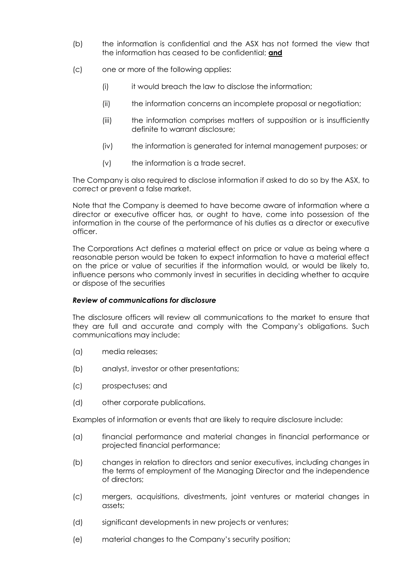- (b) the information is confidential and the ASX has not formed the view that the information has ceased to be confidential; **and**
- (c) one or more of the following applies:
	- (i) it would breach the law to disclose the information;
	- (ii) the information concerns an incomplete proposal or negotiation;
	- (iii) the information comprises matters of supposition or is insufficiently definite to warrant disclosure;
	- (iv) the information is generated for internal management purposes; or
	- (v) the information is a trade secret.

The Company is also required to disclose information if asked to do so by the ASX, to correct or prevent a false market.

Note that the Company is deemed to have become aware of information where a director or executive officer has, or ought to have, come into possession of the information in the course of the performance of his duties as a director or executive officer.

The Corporations Act defines a material effect on price or value as being where a reasonable person would be taken to expect information to have a material effect on the price or value of securities if the information would, or would be likely to, influence persons who commonly invest in securities in deciding whether to acquire or dispose of the securities

# *Review of communications for disclosure*

The disclosure officers will review all communications to the market to ensure that they are full and accurate and comply with the Company's obligations. Such communications may include:

- (a) media releases;
- (b) analyst, investor or other presentations;
- (c) prospectuses; and
- (d) other corporate publications.

Examples of information or events that are likely to require disclosure include:

- (a) financial performance and material changes in financial performance or projected financial performance;
- (b) changes in relation to directors and senior executives, including changes in the terms of employment of the Managing Director and the independence of directors;
- (c) mergers, acquisitions, divestments, joint ventures or material changes in assets;
- (d) significant developments in new projects or ventures;
- (e) material changes to the Company's security position;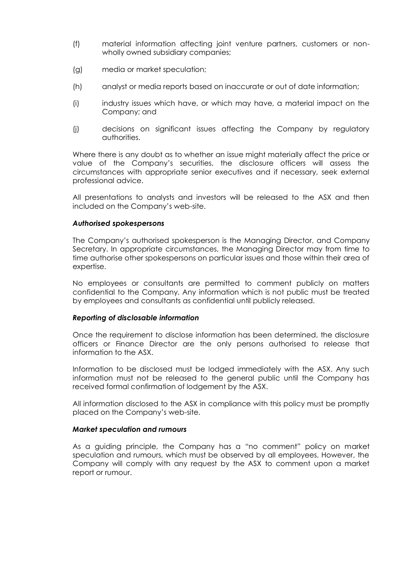- (f) material information affecting joint venture partners, customers or nonwholly owned subsidiary companies;
- (g) media or market speculation;
- (h) analyst or media reports based on inaccurate or out of date information;
- (i) industry issues which have, or which may have, a material impact on the Company; and
- (j) decisions on significant issues affecting the Company by regulatory authorities.

Where there is any doubt as to whether an issue might materially affect the price or value of the Company's securities, the disclosure officers will assess the circumstances with appropriate senior executives and if necessary, seek external professional advice.

All presentations to analysts and investors will be released to the ASX and then included on the Company's web-site.

#### *Authorised spokespersons*

The Company's authorised spokesperson is the Managing Director, and Company Secretary. In appropriate circumstances, the Managing Director may from time to time authorise other spokespersons on particular issues and those within their area of expertise.

No employees or consultants are permitted to comment publicly on matters confidential to the Company. Any information which is not public must be treated by employees and consultants as confidential until publicly released.

#### *Reporting of disclosable information*

Once the requirement to disclose information has been determined, the disclosure officers or Finance Director are the only persons authorised to release that information to the ASX.

Information to be disclosed must be lodged immediately with the ASX. Any such information must not be released to the general public until the Company has received formal confirmation of lodgement by the ASX.

All information disclosed to the ASX in compliance with this policy must be promptly placed on the Company's web-site.

#### *Market speculation and rumours*

As a guiding principle, the Company has a "no comment" policy on market speculation and rumours, which must be observed by all employees. However, the Company will comply with any request by the ASX to comment upon a market report or rumour.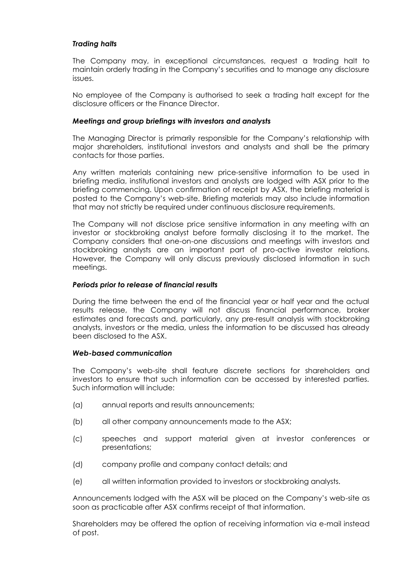# *Trading halts*

The Company may, in exceptional circumstances, request a trading halt to maintain orderly trading in the Company's securities and to manage any disclosure issues.

No employee of the Company is authorised to seek a trading halt except for the disclosure officers or the Finance Director.

## *Meetings and group briefings with investors and analysts*

The Managing Director is primarily responsible for the Company's relationship with major shareholders, institutional investors and analysts and shall be the primary contacts for those parties.

Any written materials containing new price-sensitive information to be used in briefing media, institutional investors and analysts are lodged with ASX prior to the briefing commencing. Upon confirmation of receipt by ASX, the briefing material is posted to the Company's web-site. Briefing materials may also include information that may not strictly be required under continuous disclosure requirements.

The Company will not disclose price sensitive information in any meeting with an investor or stockbroking analyst before formally disclosing it to the market. The Company considers that one-on-one discussions and meetings with investors and stockbroking analysts are an important part of pro-active investor relations. However, the Company will only discuss previously disclosed information in such meetings.

#### *Periods prior to release of financial results*

During the time between the end of the financial year or half year and the actual results release, the Company will not discuss financial performance, broker estimates and forecasts and, particularly, any pre-result analysis with stockbroking analysts, investors or the media, unless the information to be discussed has already been disclosed to the ASX.

#### *Web-based communication*

The Company's web-site shall feature discrete sections for shareholders and investors to ensure that such information can be accessed by interested parties. Such information will include:

- (a) annual reports and results announcements;
- (b) all other company announcements made to the ASX;
- (c) speeches and support material given at investor conferences or presentations;
- (d) company profile and company contact details; and
- (e) all written information provided to investors or stockbroking analysts.

Announcements lodged with the ASX will be placed on the Company's web-site as soon as practicable after ASX confirms receipt of that information.

Shareholders may be offered the option of receiving information via e-mail instead of post.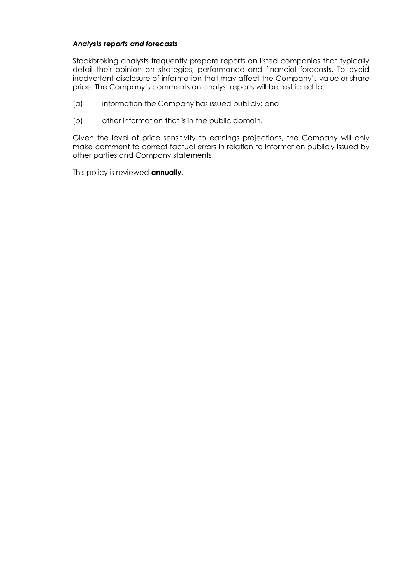## *Analysts reports and forecasts*

Stockbroking analysts frequently prepare reports on listed companies that typically detail their opinion on strategies, performance and financial forecasts. To avoid inadvertent disclosure of information that may affect the Company's value or share price. The Company's comments on analyst reports will be restricted to:

- (a) information the Company has issued publicly; and
- (b) other information that is in the public domain.

Given the level of price sensitivity to earnings projections, the Company will only make comment to correct factual errors in relation to information publicly issued by other parties and Company statements.

This policy is reviewed **annually**.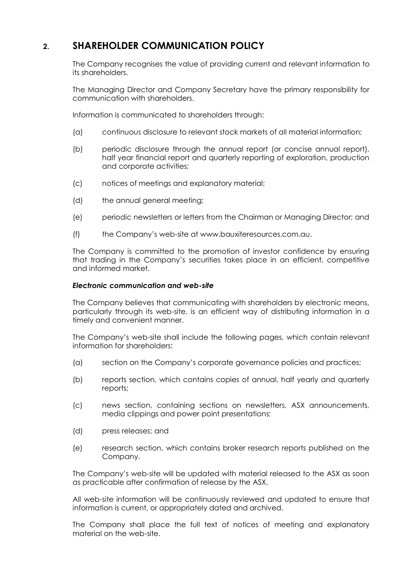# **2. SHAREHOLDER COMMUNICATION POLICY**

The Company recognises the value of providing current and relevant information to its shareholders.

The Managing Director and Company Secretary have the primary responsibility for communication with shareholders.

Information is communicated to shareholders through:

- (a) continuous disclosure to relevant stock markets of all material information;
- (b) periodic disclosure through the annual report (or concise annual report), half year financial report and quarterly reporting of exploration, production and corporate activities;
- (c) notices of meetings and explanatory material;
- (d) the annual general meeting;
- (e) periodic newsletters or letters from the Chairman or Managing Director; and
- (f) the Company's web-site at www.bauxiteresources.com.au.

The Company is committed to the promotion of investor confidence by ensuring that trading in the Company's securities takes place in an efficient, competitive and informed market.

#### *Electronic communication and web-site*

The Company believes that communicating with shareholders by electronic means, particularly through its web-site, is an efficient way of distributing information in a timely and convenient manner.

The Company's web-site shall include the following pages, which contain relevant information for shareholders:

- (a) section on the Company's corporate governance policies and practices;
- (b) reports section, which contains copies of annual, half yearly and quarterly reports;
- (c) news section, containing sections on newsletters, ASX announcements, media clippings and power point presentations;
- (d) press releases; and
- (e) research section, which contains broker research reports published on the Company.

The Company's web-site will be updated with material released to the ASX as soon as practicable after confirmation of release by the ASX.

All web-site information will be continuously reviewed and updated to ensure that information is current, or appropriately dated and archived.

The Company shall place the full text of notices of meeting and explanatory material on the web-site.